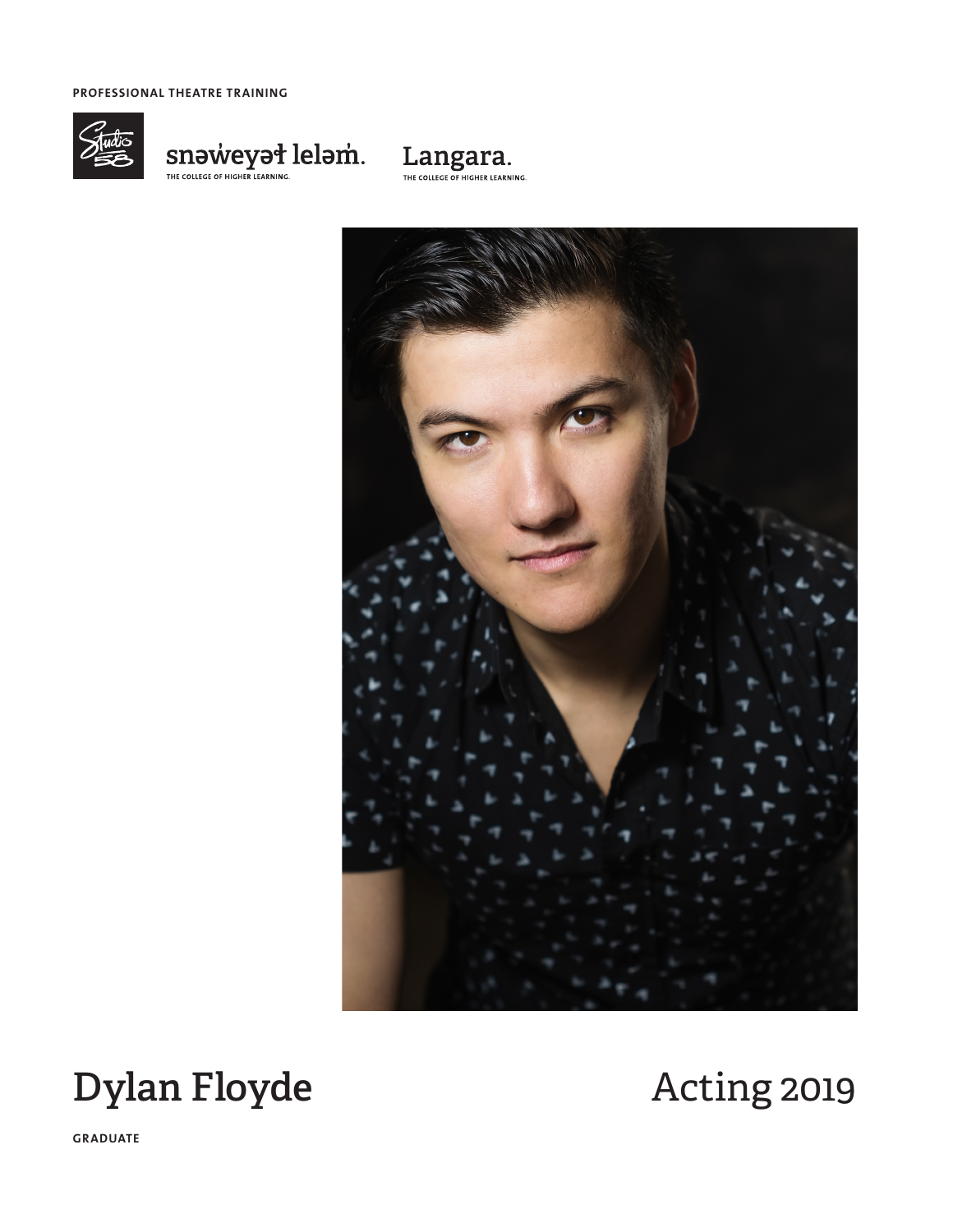**PROFESSIONAL THEATRE TRAINING**



# $\underset{\tiny{\tiny\textsf{THE COLLEG OF HIGHER LERNING.}}{\textcolor{blue}{\textbf{NE OCL HGG F L HGG HER LLEAR NING.}}}\textcolor{blue}{\textbf{1}}$







**GRADUATE**